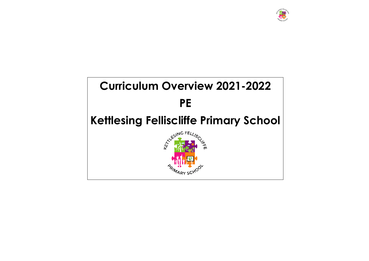

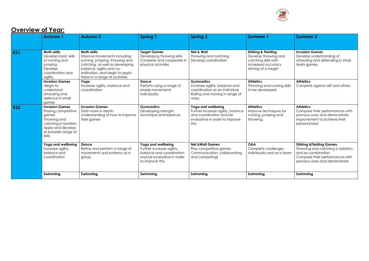

### **Overview of Year:**

|                 | <b>Autumn1</b>                                                                                                                                       | <b>Autumn 2</b>                                                                                                                                                                                                  | <b>Spring 1</b>                                                                                                               | <b>Spring 2</b>                                                                                                                | <b>Summer 1</b>                                                                                                            | <b>Summer 2</b>                                                                                                                                                       |
|-----------------|------------------------------------------------------------------------------------------------------------------------------------------------------|------------------------------------------------------------------------------------------------------------------------------------------------------------------------------------------------------------------|-------------------------------------------------------------------------------------------------------------------------------|--------------------------------------------------------------------------------------------------------------------------------|----------------------------------------------------------------------------------------------------------------------------|-----------------------------------------------------------------------------------------------------------------------------------------------------------------------|
|                 |                                                                                                                                                      |                                                                                                                                                                                                                  |                                                                                                                               |                                                                                                                                |                                                                                                                            |                                                                                                                                                                       |
| KS1             | Multi-skills<br>Develop basic skills<br>of running and<br>jumping<br>Develop<br>coordination and<br>agility                                          | Multi-skills<br>Improve movements including<br>running, jumping, throwing and<br>catching, as well as developing<br>balance, agility and co-<br>ordination, and begin to apply<br>these in a range of activities | <b>Target Games</b><br>Developing throwing skills<br>Compete and cooperate in<br>physical activities                          | <b>Net &amp; Wall</b><br>Throwing and catching<br>Develop coordination                                                         | <b>Striking &amp; Fielding</b><br>Develop throwing and<br>catching skills with<br>increased accuracy<br>Aiming at a target | <b>Invasion Games</b><br>Develop understanding of<br>attacking and defending in small<br>team games.                                                                  |
|                 | <b>Invasion Games</b><br>-Begin to<br>understand<br>attacking and<br>defence in small<br>games                                                       | Yoga<br>Increase agility, balance and<br>coordination                                                                                                                                                            | <b>Dance</b><br>Perform using a range of<br>simple movements<br>individually                                                  | <b>Gymnastics</b><br>Increase agility, balance and<br>coordination as an individual<br>Rolling and moving in range of<br>ways. | <b>Athletics</b><br>Throwing and running skills<br>to be developed.                                                        | <b>Athletics</b><br>Compete against self and others                                                                                                                   |
| KS <sub>2</sub> | <b>Invasion Games</b><br>Playing competitive<br>games<br>Throwing and<br>catching in isolation<br>Apply and develop<br>at broader range of<br>skills | <b>Invasion Games</b><br>Gain more in depth<br>understanding of how to improve<br>their games                                                                                                                    | <b>Gymnastics</b><br>Developing strength,<br>technique and balance.                                                           | Yoga and wellbeing<br>Further increase agility, balance<br>and coordination and be<br>evaluative in order to improve<br>this.  | <b>Athletics</b><br>Improve techniques for<br>running, jumping and<br>throwing.                                            | <b>Athletics</b><br>Compare their performances with<br>previous ones and demonstrate<br>improvement to achieve their<br>personal best.                                |
|                 | Yoga and wellbeing<br>Increase agility,<br>balance and<br>coordination                                                                               | <b>Dance</b><br>Refine and perform a range of<br>movements and patterns as a<br>group.                                                                                                                           | Yoga and wellbeing<br>Further increase agility,<br>balance and coordination<br>and be evaluative in order<br>to improve this. | <b>Net &amp; Wall Games</b><br>Play competitive games<br>Communication, collaborating<br>and competing)                        | <b>OAA</b><br>Complete challenges<br>individually and as a team                                                            | <b>Striking &amp; Fielding Games</b><br>Throwing and catching in isolation<br>and as combination.<br>Compare their performances with<br>previous ones and demonstrate |
|                 | Swimming                                                                                                                                             | Swimming                                                                                                                                                                                                         | Swimming                                                                                                                      | Swimming                                                                                                                       | Swimming                                                                                                                   | Swimming                                                                                                                                                              |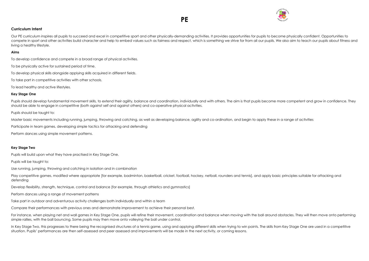



### **Curriculum Intent**

Our PE curriculum inspires all pupils to succeed and excel in competitive sport and other physically-demanding activities. It provides opportunities for pupils to become physically confident. Opportunities to compete in sport and other activities build character and help to embed values such as fairness and respect, which is something we strive for from all our pupils. We also aim to teach our pupils about fitness and living a healthy lifestyle.

#### **Aims**

To develop confidence and compete in a broad range of physical activities.

Pupils should develop fundamental movement skills, to extend their agility, balance and coordination, individually and with others. The aim is that pupils become more competent and grow in confidence. They should be able to engage in competitive (both against self and against others) and co-operative physical activities.

To be physically active for sustained period of time.

To develop physical skills alongside applying skills acquired in different fields.

To take part in competitive activities with other schools.

To lead healthy and active lifestyles.

#### **Key Stage One**

Play competitive games, modified where appropriate [for example, badminton, basketball, cricket, football, hockey, netball, rounders and tennis], and apply basic principles suitable for attacking and defending

Pupils should be taught to:

Master basic movements including running, jumping, throwing and catching, as well as developing balance, agility and co-ordination, and begin to apply these in a range of activities

For instance, when playing net and wall games in Key Stage One, pupils will refine their movement, coordination and balance when moving with the ball around obstacles. They will then move onto performing simple rallies, with the ball bouncing. Some pupils may then move onto volleying the ball under control.

Participate in team games, developing simple tactics for attacking and defending

In Key Stage Two, this progresses to there being the recognised structures of a tennis game, using and applying different skills when trying to win points. The skills from Key Stage One are used in a competitive situation. Pupils' performances are then self-assessed and peer assessed and improvements will be made in the next activity, or coming lessons.

Perform dances using simple movement patterns.

#### **Key Stage Two**

Pupils will build upon what they have practised in Key Stage One.

Pupils will be taught to:

Use running, jumping, throwing and catching in isolation and in combination

Develop flexibility, strength, technique, control and balance [for example, through athletics and gymnastics]

Perform dances using a range of movement patterns

Take part in outdoor and adventurous activity challenges both individually and within a team

Compare their performances with previous ones and demonstrate improvement to achieve their personal best.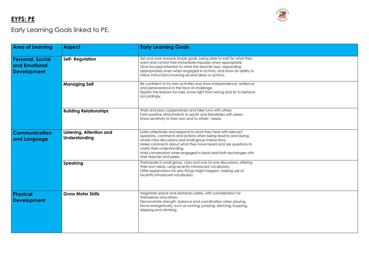# **EYFS: PE**

# Early Learning Goals linked to PE.

| <b>Area of Learning</b>                                        | <b>Aspect</b>                             | <b>Early Learning Goals</b>                                                                                                                                                                                                                                                                                                                                                              |
|----------------------------------------------------------------|-------------------------------------------|------------------------------------------------------------------------------------------------------------------------------------------------------------------------------------------------------------------------------------------------------------------------------------------------------------------------------------------------------------------------------------------|
| <b>Personal, Social</b><br>and Emotional<br><b>Development</b> | <b>Self- Regulation</b>                   | Set and work towards simple goals, being able to wait for what they<br>want and control their immediate impulses when appropriate.<br>Give focused attention to what the teacher says, responding<br>appropriately even when engaged in activity, and show an ability to<br>follow instructions involving several ideas or actions.                                                      |
|                                                                | <b>Managing Self</b>                      | Be confident to try new activities and show independence, resilience<br>and perseverance in the face of challenge.<br>Explain the reasons for rules, know right from wrong and try to behave<br>accordingly.                                                                                                                                                                             |
|                                                                | <b>Building Relationships</b>             | Work and play cooperatively and take turns with others.<br>Form positive attachments to adults and friendships with peers.<br>Show sensitivity to their own and to others' needs.                                                                                                                                                                                                        |
| <b>Communication</b><br>and Language                           | Listening, Attention and<br>Understanding | Listen attentively and respond to what they hear with relevant<br>questions, comments and actions when being read to and during<br>whole class discussions and small group interactions.<br>Make comments about what they have heard and ask questions to<br>clarify their understanding.<br>Hold conversation when engaged in back-and-forth exchanges with<br>their teacher and peers. |
|                                                                | <b>Speaking</b>                           | Participate in small group, class and one-to-one discussions, offering<br>their own ideas, using recently introduced vocabulary.<br>Offer explanations for why things might happen, making use of<br>recently introduced vocabulary.                                                                                                                                                     |
| <b>Physical</b><br><b>Development</b>                          | <b>Gross Motor Skills</b>                 | Negotiate space and obstacles safely, with consideration for<br>themselves and others.<br>Demonstrate strength, balance and coordination when playing.<br>Move energetically, such as running, jumping, dancing, hopping,<br>skipping and climbing.                                                                                                                                      |





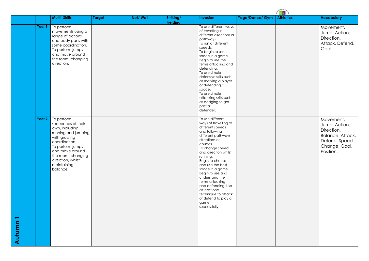|                                    |                   | <b>Multi-Skills</b>                                                                                                                                                                                                     | <b>Target</b> | Net/Wall | Striking/<br><b>Fielding</b> | <b>Invasion</b>                                                                                                                                                                                                                                                                                                                                                                                                            | Yoga/Dance/ Gym | <b>Athletics</b> | <b>Vocabulary</b>                                                                   |
|------------------------------------|-------------------|-------------------------------------------------------------------------------------------------------------------------------------------------------------------------------------------------------------------------|---------------|----------|------------------------------|----------------------------------------------------------------------------------------------------------------------------------------------------------------------------------------------------------------------------------------------------------------------------------------------------------------------------------------------------------------------------------------------------------------------------|-----------------|------------------|-------------------------------------------------------------------------------------|
|                                    | Year 1            | To perform<br>movements using a<br>range of actions<br>and body parts with<br>some coordination.<br>To perform jumps<br>and move around<br>the room, changing<br>direction.                                             |               |          |                              | To use different ways<br>of travelling in<br>different directions or<br>pathways.<br>To run at different<br>speeds.<br>To begin to use<br>space in a game.<br>Begin to use the<br>terms attacking and<br>defending.<br>To use simple<br>defensive skills such<br>as marking a player<br>or defending a<br>space.<br>To use simple<br>attacking skills such<br>as dodging to get<br>past a<br>defender.                     |                 |                  | Movemer<br>Jump, Act<br>Direction,<br>Attack, De<br>Goal                            |
| $\overline{\phantom{a}}$<br>Autumn | Year <sub>2</sub> | To perform<br>sequences of their<br>own, including<br>running and jumping<br>with growing<br>coordination.<br>To perform jumps<br>and move around<br>the room, changing<br>direction, whilst<br>maintaining<br>balance. |               |          |                              | To use different<br>ways of travelling at<br>different speeds<br>and following<br>different pathways,<br>directions or<br>courses.<br>To change speed<br>and direction whilst<br>running.<br>Begin to choose<br>and use the best<br>space in a game.<br>Begin to use and<br>understand the<br>terms attacking<br>and defending. Use<br>at least one<br>technique to attack<br>or defend to play a<br>game<br>successfully. |                 |                  | Movemer<br>Jump, Act<br>Direction,<br>Balance,<br>Defend, S<br>Change,<br>Position. |

| <b>SILLER CARDS</b> |                                                                                                              |  |  |  |  |
|---------------------|--------------------------------------------------------------------------------------------------------------|--|--|--|--|
| <b>Athletics</b>    | <b>Vocabulary</b>                                                                                            |  |  |  |  |
|                     | Movement,<br>Jump, Actions,<br>Direction,<br>Attack, Defend,<br>Goal                                         |  |  |  |  |
|                     | Movement,<br>Jump, Actions,<br>Direction,<br>Balance, Attack,<br>Defend, Speed<br>Change, Goal,<br>Position. |  |  |  |  |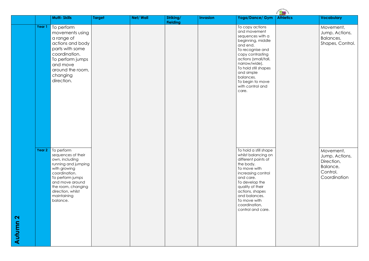|                             |        | <b>Multi-Skills</b>                                                                                                                                                                                                     | <b>Target</b> | <b>Net/Wall</b> | Striking/<br><b>Fielding</b> | <b>Invasion</b> | Yoga/Dance/ Gym                                                                                                                                                                                                                                                           | <b>Athletics</b> | <b>Vocabulary</b>                                                       |
|-----------------------------|--------|-------------------------------------------------------------------------------------------------------------------------------------------------------------------------------------------------------------------------|---------------|-----------------|------------------------------|-----------------|---------------------------------------------------------------------------------------------------------------------------------------------------------------------------------------------------------------------------------------------------------------------------|------------------|-------------------------------------------------------------------------|
|                             | Year 1 | To perform<br>movements using<br>a range of<br>actions and body<br>parts with some<br>coordination.<br>To perform jumps<br>and move<br>around the room,<br>changing<br>direction.                                       |               |                 |                              |                 | To copy actions<br>and movement<br>sequences with a<br>beginning, middle<br>and end.<br>To recognise and<br>copy contrasting<br>actions (small/tall,<br>narrow/wide).<br>To hold still shapes<br>and simple<br>balances.<br>To begin to move<br>with control and<br>care. |                  | Movemer<br>Jump, Act<br>Balances,<br>Shapes, C                          |
| $\mathbf{\Omega}$<br>Autumn | Year 2 | To perform<br>sequences of their<br>own, including<br>running and jumping<br>with growing<br>coordination.<br>To perform jumps<br>and move around<br>the room, changing<br>direction, whilst<br>maintaining<br>balance. |               |                 |                              |                 | To hold a still shape<br>whilst balancing on<br>different points of<br>the body.<br>To move with<br>increasing control<br>and care.<br>To develop the<br>quality of their<br>actions, shapes<br>and balances.<br>To move with<br>coordination,<br>control and care.       |                  | Movemer<br>Jump, Act<br>Direction,<br>Balance,<br>Control,<br>Coordinat |

| <b>thletics</b> | <b>Vocabulary</b>                                                                 |
|-----------------|-----------------------------------------------------------------------------------|
|                 | Movement,<br>Jump, Actions,<br>Balances,<br>Shapes, Control.                      |
|                 | Movement,<br>Jump, Actions,<br>Direction,<br>Balance,<br>Control,<br>Coordination |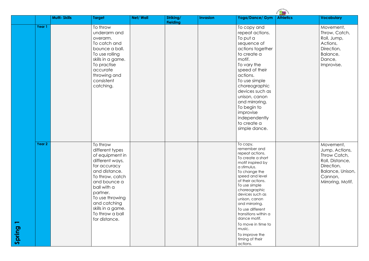|        |        | <b>Multi-Skills</b> | <b>Target</b>                                                                                                                                                                                                                                                | Net/ Wall | Striking/<br><b>Fielding</b> | <b>Invasion</b> | Yoga/Dance/ Gym                                                                                                                                                                                                                                                                                                                                                                                    | <u> 1998 - 1999 - 1999 - 1999 - 1999 - 1999 - 1999 - 1999 - 1999 - 1999 - 1999 - 1999 - 1999 - 1999 - 1999 - 199</u><br><b>Athletics</b> | <b>Vocabulary</b>                                                                                      |
|--------|--------|---------------------|--------------------------------------------------------------------------------------------------------------------------------------------------------------------------------------------------------------------------------------------------------------|-----------|------------------------------|-----------------|----------------------------------------------------------------------------------------------------------------------------------------------------------------------------------------------------------------------------------------------------------------------------------------------------------------------------------------------------------------------------------------------------|------------------------------------------------------------------------------------------------------------------------------------------|--------------------------------------------------------------------------------------------------------|
|        | Year 1 |                     | To throw<br>underarm and<br>overarm.<br>To catch and<br>bounce a ball.<br>To use rolling<br>skills in a game.<br>To practise<br>accurate<br>throwing and<br>consistent<br>catching.                                                                          |           |                              |                 | To copy and<br>repeat actions.<br>To put a<br>sequence of<br>actions together<br>to create a<br>motif.<br>To vary the<br>speed of their<br>actions.<br>To use simple<br>choreographic<br>devices such as<br>unison, canon<br>and mirroring.<br>To begin to<br>improvise<br>independently<br>to create a<br>simple dance.                                                                           |                                                                                                                                          | Movemer<br>Throw, Ca<br>Roll, Jump<br>Actions,<br>Direction,<br>Balance,<br>Dance,<br>Improvise.       |
| Spring | Year 2 |                     | To throw<br>different types<br>of equipment in<br>different ways,<br>for accuracy<br>and distance.<br>To throw, catch<br>and bounce a<br>ball with a<br>partner.<br>To use throwing<br>and catching<br>skills in a game.<br>To throw a ball<br>for distance. |           |                              |                 | То сору,<br>remember and<br>repeat actions.<br>To create a short<br>motif inspired by<br>a stimulus.<br>To change the<br>speed and level<br>of their actions.<br>To use simple<br>choreographic<br>devices such as<br>unison, canon<br>and mirroring.<br>To use different<br>transitions within a<br>dance motif.<br>To move in time to<br>music.<br>To improve the<br>timing of their<br>actions. |                                                                                                                                          | Movemer<br>Jump, Act<br>Throw Cat<br>Roll, Distar<br>Direction,<br>Balance, l<br>Cannon,<br>Mirroring, |

| <b>Vocabulary</b>                                                                                                                |
|----------------------------------------------------------------------------------------------------------------------------------|
| Movement,<br>Throw, Catch,<br>Roll, Jump,<br>Actions,<br>Direction,<br>Balance,<br>Dance,<br>Improvise.                          |
| Movement,<br>Jump, Actions,<br>Throw Catch,<br>Roll, Distance,<br>Direction,<br>Balance, Unison,<br>Cannon,<br>Mirroring, Motif. |
|                                                                                                                                  |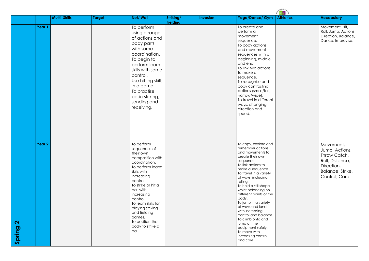|                             |        |                     |               |                                                                                                                                                                                                                                                                                                                              |                              |                 |                                                                                                                                                                                                                                                                                                                                                                                                                                                                                             | $\begin{picture}(130,10) \put(0,0){\line(1,0){15}} \put(15,0){\line(1,0){15}} \put(15,0){\line(1,0){15}} \put(15,0){\line(1,0){15}} \put(15,0){\line(1,0){15}} \put(15,0){\line(1,0){15}} \put(15,0){\line(1,0){15}} \put(15,0){\line(1,0){15}} \put(15,0){\line(1,0){15}} \put(15,0){\line(1,0){15}} \put(15,0){\line(1,0){15}} \put(15,0){\line($ |                                                                                                                   |
|-----------------------------|--------|---------------------|---------------|------------------------------------------------------------------------------------------------------------------------------------------------------------------------------------------------------------------------------------------------------------------------------------------------------------------------------|------------------------------|-----------------|---------------------------------------------------------------------------------------------------------------------------------------------------------------------------------------------------------------------------------------------------------------------------------------------------------------------------------------------------------------------------------------------------------------------------------------------------------------------------------------------|-----------------------------------------------------------------------------------------------------------------------------------------------------------------------------------------------------------------------------------------------------------------------------------------------------------------------------------------------------|-------------------------------------------------------------------------------------------------------------------|
|                             |        | <b>Multi-Skills</b> | <b>Target</b> | Net/Wall                                                                                                                                                                                                                                                                                                                     | Striking/<br><b>Fielding</b> | <b>Invasion</b> | Yoga/Dance/ Gym                                                                                                                                                                                                                                                                                                                                                                                                                                                                             | <b>Athletics</b>                                                                                                                                                                                                                                                                                                                                    | <b>Vocabulary</b>                                                                                                 |
|                             | Year 1 |                     |               | To perform<br>using a range<br>of actions and<br>body parts<br>with some<br>coordination.<br>To begin to<br>perform learnt<br>skills with some<br>control.<br>Use hitting skills<br>in a game.<br>To practise<br>basic striking,<br>sending and<br>receiving.                                                                |                              |                 | To create and<br>perform a<br>movement<br>sequence.<br>To copy actions<br>and movement<br>sequences with a<br>beginning, middle<br>and end.<br>To link two actions<br>to make a<br>sequence.<br>To recognise and<br>copy contrasting<br>actions (small/tall,<br>narrow/wide).<br>To travel in different<br>ways, changing<br>direction and<br>speed.                                                                                                                                        |                                                                                                                                                                                                                                                                                                                                                     | Movement, Hit,<br>Roll, Jump, Actions,<br>Direction, Balance,<br>Dance, Improvise.                                |
| $\mathbf{\Omega}$<br>Spring | Year 2 |                     |               | To perform<br>sequences of<br>their own<br>composition with<br>coordination.<br>To perform learnt<br>skills with<br>increasing<br>control.<br>To strike or hit a<br>ball with<br>increasing<br>control.<br>To learn skills for<br>playing striking<br>and fielding<br>games.<br>To position the<br>body to strike a<br>ball. |                              |                 | To copy, explore and<br>remember actions<br>and movements to<br>create their own<br>sequence.<br>To link actions to<br>make a sequence.<br>To travel in a variety<br>of ways, including<br>rolling.<br>To hold a still shape<br>whilst balancing on<br>different points of the<br>body.<br>To jump in a variety<br>of ways and land<br>with increasing<br>control and balance.<br>To climb onto and<br>jump off the<br>equipment safely.<br>To move with<br>increasing control<br>and care. |                                                                                                                                                                                                                                                                                                                                                     | Movement,<br>Jump, Actions,<br>Throw Catch,<br>Roll, Distance,<br>Direction,<br>Balance, Strike,<br>Control, Care |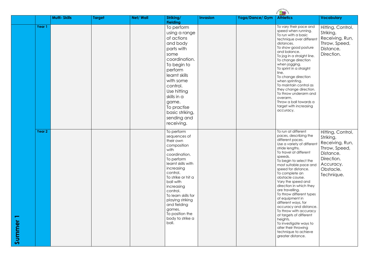|        |                   |                     |        |          |                                                                                                                                                                                                                                                                                                                                 |                 |                 | 麻果                                                                                                                                                                                                                                                                                                                                                                                                                                                                                                                                                                                                          |                                                                                                                                       |
|--------|-------------------|---------------------|--------|----------|---------------------------------------------------------------------------------------------------------------------------------------------------------------------------------------------------------------------------------------------------------------------------------------------------------------------------------|-----------------|-----------------|-------------------------------------------------------------------------------------------------------------------------------------------------------------------------------------------------------------------------------------------------------------------------------------------------------------------------------------------------------------------------------------------------------------------------------------------------------------------------------------------------------------------------------------------------------------------------------------------------------------|---------------------------------------------------------------------------------------------------------------------------------------|
|        |                   | <b>Multi-Skills</b> | Target | Net/Wall | Striking/<br><b>Fielding</b>                                                                                                                                                                                                                                                                                                    | <b>Invasion</b> | Yoga/Dance/ Gym | <b>Athletics</b>                                                                                                                                                                                                                                                                                                                                                                                                                                                                                                                                                                                            | <b>Vocabulary</b>                                                                                                                     |
|        | Year 1            |                     |        |          | To perform<br>using a range<br>of actions<br>and body<br>parts with<br>some<br>coordination.<br>To begin to<br>perform<br>learnt skills<br>with some<br>control.<br>Use hitting<br>skills in a<br>game.<br>To practise<br>basic striking,<br>sending and<br>receiving.                                                          |                 |                 | To vary their pace and<br>speed when running.<br>To run with a basic<br>technique over different<br>distances.<br>To show good posture<br>and balance.<br>To jog in a straight line.<br>To change direction<br>when jogging.<br>To sprint in a straight<br>line.<br>To change direction<br>when sprinting.<br>To maintain control as<br>they change direction.<br>To throw underarm and<br>overarm.<br>Throw a ball towards a<br>target with increasing<br>accuracy.                                                                                                                                        | Hitting, Control,<br>Striking,<br>Receiving, Run,<br>Throw, Speed,<br>Distance,<br>Direction.                                         |
| Summer | Year <sub>2</sub> |                     |        |          | To perform<br>sequences of<br>their own<br>composition<br>with<br>coordination.<br>To perform<br>learnt skills with<br>increasing<br>control.<br>To strike or hit a<br>ball with<br>increasing<br>control.<br>To learn skills for<br>playing striking<br>and fielding<br>games.<br>To position the<br>body to strike a<br>ball. |                 |                 | To run at different<br>paces, describing the<br>different paces.<br>Use a variety of different<br>stride lengths.<br>To travel at different<br>speeds.<br>To begin to select the<br>most suitable pace and<br>speed for distance.<br>To complete an<br>obstacle course.<br>Vary the speed and<br>direction in which they<br>are travelling.<br>To throw different types<br>of equipment in<br>different ways, for<br>accuracy and distance.<br>To throw with accuracy<br>at targets of different<br>heights.<br>To investigate ways to<br>alter their throwing<br>technique to achieve<br>greater distance. | Hitting, Control,<br>Striking,<br>Receiving, Run,<br>Throw, Speed,<br>Distance,<br>Direction,<br>Accuracy,<br>Obstacle,<br>Technique. |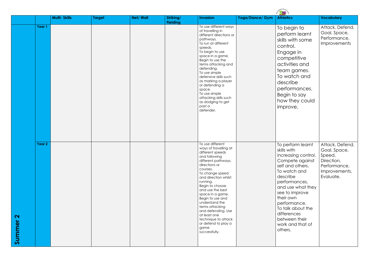|                             |        | <b>Multi-Skills</b> | <b>Target</b> | Net/Wall | Striking/       | <b>Invasion</b>                                                                                                                                                                                                                                                                                                                                                                                                            | Yoga/Dance/ Gym | <b>Athletics</b>                                                                                                                                                                                                                                                                                    | <b>Vocabulary</b>                                                                                     |
|-----------------------------|--------|---------------------|---------------|----------|-----------------|----------------------------------------------------------------------------------------------------------------------------------------------------------------------------------------------------------------------------------------------------------------------------------------------------------------------------------------------------------------------------------------------------------------------------|-----------------|-----------------------------------------------------------------------------------------------------------------------------------------------------------------------------------------------------------------------------------------------------------------------------------------------------|-------------------------------------------------------------------------------------------------------|
|                             | Year 1 |                     |               |          | <b>Fielding</b> | To use different ways<br>of travelling in<br>different directions or<br>pathways.<br>To run at different<br>speeds.<br>To begin to use<br>space in a game.<br>Begin to use the<br>terms attacking and<br>defending.<br>To use simple<br>defensive skills such<br>as marking a player<br>or defending a<br>space.<br>To use simple<br>attacking skills such<br>as dodging to get<br>past a<br>defender.                     |                 | To begin to<br>perform learnt<br>skills with some<br>control.<br>Engage in<br>competitive<br>activities and<br>team games.<br>To watch and<br>describe<br>performances.<br>Begin to say<br>how they could<br>improve.                                                                               | Attack, Defend,<br>Goal, Space,<br>Performance,<br><b>Improvements</b>                                |
| $\mathbf{\Omega}$<br>Summer | Year 2 |                     |               |          |                 | To use different<br>ways of travelling at<br>different speeds<br>and following<br>different pathways,<br>directions or<br>courses.<br>To change speed<br>and direction whilst<br>running.<br>Begin to choose<br>and use the best<br>space in a game.<br>Begin to use and<br>understand the<br>terms attacking<br>and defending. Use<br>at least one<br>technique to attack<br>or defend to play a<br>game<br>successfully. |                 | To perform learnt<br>skills with<br>increasing control.<br>Compete against<br>self and others.<br>To watch and<br>describe<br>performances,<br>and use what they<br>see to improve<br>their own<br>performance.<br>To talk about the<br>differences<br>between their<br>work and that of<br>others. | Attack, Defend,<br>Goal, Space,<br>Speed,<br>Direction,<br>Performance,<br>Improvements,<br>Evaluate. |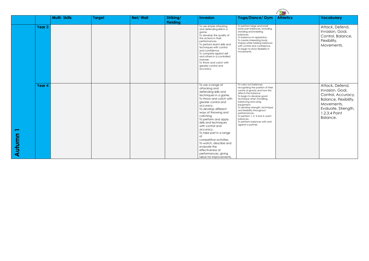|                                           |                   | <b>Multi-Skills</b> | <b>Target</b> | <b>Net/Wall</b> | Striking/<br><b>Fielding</b> | <b>Invasion</b>                                                                                                                                                                                                                                                                                                                                                                                                                                                                | Yoga/Dance/ Gym                                                                                                                                                                                                                                                                                                                                                                                             | <b>Athletics</b> | <b>Vocabulary</b>                                                                                                                                   |
|-------------------------------------------|-------------------|---------------------|---------------|-----------------|------------------------------|--------------------------------------------------------------------------------------------------------------------------------------------------------------------------------------------------------------------------------------------------------------------------------------------------------------------------------------------------------------------------------------------------------------------------------------------------------------------------------|-------------------------------------------------------------------------------------------------------------------------------------------------------------------------------------------------------------------------------------------------------------------------------------------------------------------------------------------------------------------------------------------------------------|------------------|-----------------------------------------------------------------------------------------------------------------------------------------------------|
|                                           | Year <sub>3</sub> |                     |               |                 |                              | To use simple attacking<br>and defending skills in a<br>game.<br>To develop the quality of<br>the actions in their<br>performances.<br>To perform learnt skills and<br>techniques with control<br>and confidence.<br>To compete against self<br>and others in a controlled<br>manner.<br>To throw and catch with<br>greater control and<br>accuracy.                                                                                                                           | To perform large and small<br>body part balances, including<br>standing and kneeling<br>balances<br>To balance on apparatus.<br>To create interesting body<br>shapes while holding balances<br>with control and confidence.<br>To begin to show flexibility in<br>movements.                                                                                                                                |                  | Attack, Defend,<br>Invasion, Goal,<br>Control, Balance,<br>Flexibility,<br>Movements.                                                               |
| $\overline{\phantom{0}}$<br><b>Autumn</b> | Year <sub>4</sub> |                     |               |                 |                              | To use a range of<br>attacking and<br>defending skills and<br>techniques in a game.<br>To throw and catch with<br>greater control and<br>accuracy.<br>To develop different<br>ways of throwing and<br>catching.<br>To perform and apply<br>skills and techniques<br>with control and<br>accuracy.<br>To take part in a range<br>of<br>competitive activities.<br>To watch, describe and<br>evaluate the<br>effectiveness of<br>performances, giving<br>ideas for improvements. | To carry out balances,<br>recognising the position of their<br>centre of gravity and how this<br>affects the balance.<br>To begin to develop good<br>technique when travelling,<br>balancing and using<br>equipment.<br>To develop strength, technique<br>and flexibility throughout<br>performances.<br>To perform 1, 2, 3 and 4- point<br>balances.<br>To perform balances with and<br>against a partner. |                  | Attack, Defend,<br>Invasion, Goal,<br>Control, Accuracy,<br>Balance, Flexibility,<br>Movements,<br>Evaluate, Strength,<br>1,2,3,4 Point<br>Balance. |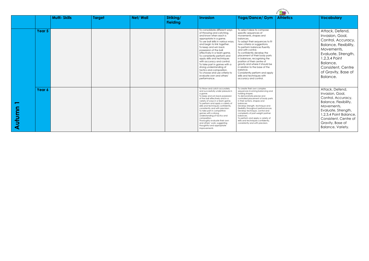|            |                   | <b>Multi-Skills</b> | <b>Target</b> | Net/Wall | Striking/<br><b>Fielding</b> | <b>Invasion</b>                                                                                                                                                                                                                                                                                                                                                                                                                                                                                                                      | Yoga/Dance/ Gym                                                                                                                                                                                                                                                                                                                                                                                                                                                                                                          | <b>Athletics</b> | <b>Vocabulary</b>                                                                                                                                                                                                  |
|------------|-------------------|---------------------|---------------|----------|------------------------------|--------------------------------------------------------------------------------------------------------------------------------------------------------------------------------------------------------------------------------------------------------------------------------------------------------------------------------------------------------------------------------------------------------------------------------------------------------------------------------------------------------------------------------------|--------------------------------------------------------------------------------------------------------------------------------------------------------------------------------------------------------------------------------------------------------------------------------------------------------------------------------------------------------------------------------------------------------------------------------------------------------------------------------------------------------------------------|------------------|--------------------------------------------------------------------------------------------------------------------------------------------------------------------------------------------------------------------|
|            | Year <sub>5</sub> |                     |               |          |                              | To consolidate different ways<br>of throwing and catching,<br>and know when each is<br>appropriate in a game.<br>To use ball skills in various ways,<br>and begin to link together.<br>To keep and win back<br>possession of the ball<br>effectively in a team game.<br>To consistently perform and<br>apply skills and techniques<br>with accuracy and control.<br>To take part in games with a<br>strong understanding of<br>tactics and composition.<br>To choose and use criteria to<br>evaluate own and others'<br>performance. | To select ideas to compose<br>specific sequences of<br>movements, shapes and<br>balances.<br>To adapt their sequences to fit<br>new criteria or suggestions.<br>To perform balances fluently<br>and with control.<br>To confidently develop the<br>placement of their body parts<br>in balances, recognising the<br>position of their centre of<br>gravity and where it should be<br>in relation to the base of the<br>balance.<br>Consistently perform and apply<br>skills and techniques with<br>accuracy and control. |                  | Attack, Defend,<br>Invasion, Goal,<br>Control, Accuracy,<br>Balance, Flexibility,<br>Movements,<br>Evaluate, Strength,<br>1,2,3,4 Point<br>Balance,<br>Consistent, Centre<br>of Gravity, Base of<br>Balance.       |
| utumn<br>◀ | Year 6            |                     |               |          |                              | To throw and catch accurately<br>and successfully under pressure in<br>a game.<br>To keep and win back possession<br>of the ball effectively and in a<br>variety of ways in a team game.<br>To perform and apply a variety of<br>skills and techniques confidently,<br>consistently and with precision.<br>To take part in competitive<br>games with a strong<br>understanding of tactics and<br>composition.<br>Thoroughly evaluate their own<br>and others' work, suggesting<br>thoughtful and appropriate<br>improvements         | To create their own complex<br>sequences involving balancing and<br>holding shapes.<br>To demonstrate precise and<br>controlled placement of body parts<br>in their actions, shapes and<br>balances.<br>Develop strength, technique and<br>flexibility throughout performances.<br>Develop technique, control and<br>complexity of part-weight partner<br>balances.<br>To perform and apply a variety of<br>skills and techniques confidently,<br>consistently and with precision.                                       |                  | Attack, Defend,<br>Invasion, Goal,<br>Control, Accuracy,<br>Balance, Flexibility,<br>Movements,<br>Evaluate, Strength,<br>1,2,3,4 Point Balance,<br>Consistent, Centre of<br>Gravity, Base of<br>Balance, Variety. |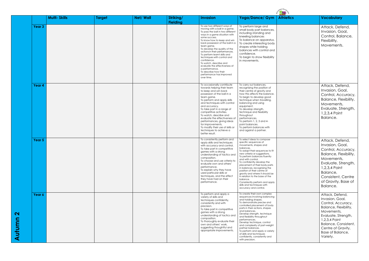**Autumn 2**

|                   | <b>Multi-Skills</b> | <b>Target</b> | Net/Wall | Striking/<br><b>Fielding</b> | <b>Invasion</b>                                                                                                                                                                                                                                                                                                                                                                                                                                                                                                                        | Yoga/Dance/ Gym                                                                                                                                                                                                                                                                                                                                                                                                                                                                                                          | <b>Athletics</b> | <b>Vocabulary</b>                                                                                                                                                                                                     |
|-------------------|---------------------|---------------|----------|------------------------------|----------------------------------------------------------------------------------------------------------------------------------------------------------------------------------------------------------------------------------------------------------------------------------------------------------------------------------------------------------------------------------------------------------------------------------------------------------------------------------------------------------------------------------------|--------------------------------------------------------------------------------------------------------------------------------------------------------------------------------------------------------------------------------------------------------------------------------------------------------------------------------------------------------------------------------------------------------------------------------------------------------------------------------------------------------------------------|------------------|-----------------------------------------------------------------------------------------------------------------------------------------------------------------------------------------------------------------------|
| Year <sub>3</sub> |                     |               |          |                              | To use two different ways of<br>moving with a ball in a game.<br>To pass the ball in two different<br>ways in a game situation with<br>some success.<br>To know how to keep and win<br>back possession of the ball in a<br>team game.<br>To develop the quality of the<br>actions in their performances.<br>To perform learnt skills and<br>techniques with control and<br>confidence.<br>To watch, describe and<br>evaluate the effectiveness of<br>a performance.<br>To describe how their<br>performance has improved<br>over time. | To perform large and<br>small body part balances,<br>including standing and<br>kneeling balances<br>To balance on apparatus.<br>To create interesting body<br>shapes while holding<br>balances with control and<br>confidence.<br>To begin to show flexibility<br>in movements.                                                                                                                                                                                                                                          |                  | Attack, Defend,<br>Invasion, Goal,<br>Control, Balance,<br>Flexibility,<br>Movements.                                                                                                                                 |
| Year <sub>4</sub> |                     |               |          |                              | To occasionally contribute<br>towards helping their team<br>to keep and win back<br>possession of the ball in a<br>team game.<br>To perform and apply skills<br>and techniques with control<br>and accuracy.<br>To take part in a range of<br>competitive activities.<br>To watch, describe and<br>evaluate the effectiveness of<br>performances, giving ideas<br>for improvements.<br>To modify their use of skills or<br>techniques to achieve a<br>better result.                                                                   | To carry out balances,<br>recognising the position of<br>their centre of gravity and<br>how this affects the balance.<br>To begin to develop good<br>technique when travelling,<br>balancing and using<br>equipment.<br>To develop strength,<br>technique and flexibility<br>throughout<br>performances.<br>To perform $1, 2, 3$ and $4-$<br>point balances.<br>To perform balances with<br>and against a partner.                                                                                                       |                  | Attack, Defend,<br>Invasion, Goal,<br>Control, Accuracy,<br>Balance, Flexibility,<br>Movements,<br>Evaluate, Strength,<br>1,2,3,4 Point<br>Balance.                                                                   |
| Year 5            |                     |               |          |                              | To consistently perform and<br>apply skills and techniques<br>with accuracy and control.<br>To take part in competitive<br>games with a strong<br>understanding of tactics and<br>composition.<br>To choose and use criteria to<br>evaluate own and others'<br>performance.<br>To explain why they have<br>used particular skills or<br>techniques, and the effect<br>they have had on their<br>performance.                                                                                                                           | To select ideas to compose<br>specific sequences of<br>movements, shapes and<br>balances.<br>To adapt their sequences to fit<br>new criteria or suggestions.<br>To perform balances fluently<br>and with control.<br>To confidently develop the<br>placement of their body parts<br>in balances, recognising the<br>position of their centre of<br>gravity and where it should be<br>in relation to the base of the<br>balance.<br>Consistently perform and apply<br>skills and techniques with<br>accuracy and control. |                  | Attack, Defend,<br>Invasion, Goal<br>Control, Accuracy,<br>Balance, Flexibility,<br>Movements,<br>Evaluate, Strength,<br>1,2,3,4 Point<br>Balance,<br>Consistent, Centre<br>of Gravity, Base of<br>Balance.           |
| Year 6            |                     |               |          |                              | To perform and apply a<br>variety of skills and<br>techniques confidently,<br>consistently and with<br>precision.<br>To take part in competitive<br>games with a strong<br>understanding of tactics and<br>composition.<br>To thoroughly evaluate their<br>own and others' work,<br>suggesting thoughtful and<br>appropriate improvements.                                                                                                                                                                                             | To create their own complex<br>sequences involving balancing<br>and holding shapes.<br>To demonstrate precise and<br>controlled placement of body<br>parts in their actions, shapes<br>and balances.<br>Develop strength, technique<br>and flexibility throughout<br>performances.<br>Develop technique, control<br>and complexity of part-weight<br>partner balances.<br>To perform and apply a variety<br>of skills and techniques<br>confidently, consistently and<br>with precision.                                 |                  | Attack, Defend,<br>Invasion, Goal,<br>Control, Accuracy,<br>Balance, Flexibility,<br>Movements,<br>Evaluate, Strength,<br>1,2,3,4 Point<br>Balance, Consistent,<br>Centre of Gravity,<br>Base of Balance,<br>Variety. |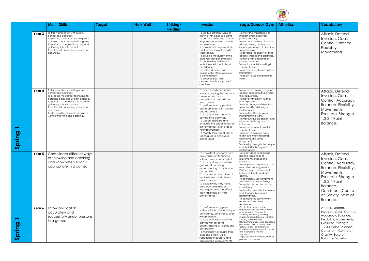|                                           |        | <b>Multi-Skills</b>                                                                                                                                                                                                                                                                                                                              | <b>Target</b> | <b>Net/Wall</b> | Striking/       | <b>Invasion</b>                                                                                                                                                                                                                                                                                                                                                                                                                                                                                                                        | Yoga/Dance/ Gym                                                                                                                                                                                                                                                                                                                                                                                                                                                                                                                                                                    | "ARY SCH<br><b>Athletics</b> | <b>Vocabulary</b>                                                                                                                                                                                               |
|-------------------------------------------|--------|--------------------------------------------------------------------------------------------------------------------------------------------------------------------------------------------------------------------------------------------------------------------------------------------------------------------------------------------------|---------------|-----------------|-----------------|----------------------------------------------------------------------------------------------------------------------------------------------------------------------------------------------------------------------------------------------------------------------------------------------------------------------------------------------------------------------------------------------------------------------------------------------------------------------------------------------------------------------------------------|------------------------------------------------------------------------------------------------------------------------------------------------------------------------------------------------------------------------------------------------------------------------------------------------------------------------------------------------------------------------------------------------------------------------------------------------------------------------------------------------------------------------------------------------------------------------------------|------------------------------|-----------------------------------------------------------------------------------------------------------------------------------------------------------------------------------------------------------------|
|                                           | Year 3 | To throw and catch with greater<br>control and accuracy.<br>To practise the correct technique for<br>catching a ball and use it in a game.<br>To perform a range of catching and<br>gathering skills with control.<br>To catch with increasing control and<br>accuracy.                                                                          |               |                 | <b>Fielding</b> | To use two different ways of<br>moving with a ball in a game.<br>To pass the ball in two different<br>ways in a game situation with<br>some success.<br>To know how to keep and win<br>back possession of the ball in a<br>team game.<br>To develop the quality of the<br>actions in their performances.<br>To perform learnt skills and<br>techniques with control and<br>confidence.<br>To watch, describe and<br>evaluate the effectiveness of<br>a performance.<br>To describe how their<br>performance has improved<br>over time. | To know the importance of<br>strength and flexibility for<br>physical activity.<br>To link combinations of actions<br>with increasing confidence,<br>including changes of direction,<br>speed or level.<br>To develop the quality of their<br>actions, shapes and balances.<br>To move with coordination.<br>control and care.<br>To use turns whilst travelling in a<br>variety of ways.<br>To use a range of jumps in their<br>sequences.<br>To begin to use equipment to<br>vault.                                                                                              |                              | Attack, Defend,<br>Invasion, Goal,<br>Control, Balance,<br>Flexibility,<br>Movements.                                                                                                                           |
| pring<br>$\boldsymbol{\omega}$            | Year 4 | To throw and catch with greater<br>control and accuracy.<br>To practise the correct technique for<br>catching a ball and use it in a game.<br>To perform a range of catching and<br>gathering skills with control.<br>To catch with increasing control and<br>accuracy.<br>To develop the different and varied<br>ways of throwing and catching. |               |                 |                 | To occasionally contribute<br>towards helping their team to<br>keep and win back<br>possession of the ball in a<br>team game.<br>To perform and apply skills<br>and techniques with control<br>and accuracy.<br>To take part in a range of<br>competitive activities.<br>To watch, describe and<br>evaluate the effectiveness of<br>performances, giving ideas<br>for improvements.<br>To modify their use of skills or<br>techniques to achieve a<br>better result.                                                                   | To use an increasing range of<br>actions, directions and levels in<br>their sequences.<br>To move with clarity, fluency<br>and expression.<br>To show changes of direction,<br>speed and level during a<br>performance.<br>To travel in different ways,<br>including using flight.<br>To improve the placement and<br>alignment of body parts in<br>balances.<br>To use equipment to vault in a<br>variety of ways.<br>To begin to develop good<br>technique when travelling,<br>balancing and using<br>equipment.<br>To develop strength, technique<br>and flexibility throughout |                              | Attack, Defend,<br>Invasion, Goal,<br>Control, Accuracy,<br>Balance, Flexibility,<br>Movements,<br>Evaluate, Strength,<br>1,2,3,4 Point<br>Balance.                                                             |
|                                           | Year 5 | Consolidate different ways<br>of throwing and catching,<br>and know when each is<br>appropriate in a game.                                                                                                                                                                                                                                       |               |                 |                 | To consistently perform and<br>apply skills and techniques<br>with accuracy and control.<br>To take part in competitive<br>games with a strong<br>understanding of tactics and<br>composition.<br>To choose and use criteria to<br>evaluate own and others'<br>performance.<br>To explain why they have<br>used particular skills or<br>techniques, and the effect<br>they have had on their<br>performance.                                                                                                                           | performances<br>To select ideas to compose<br>specific sequences of<br>movements, shapes and<br>balances.<br>To adapt their sequences to fit<br>new criteria or suggestions.<br>Perform jumps, shapes and<br>balances fluently and with<br>control.<br>To confidently use equipment<br>to vault in a variety of ways.<br>To apply skills and techniques<br>consistently.<br>To develop strength, technique<br>and flexibility throughout<br>performances.<br>To combine equipment with<br>movement to create<br>sequences.                                                         |                              | Attack, Defend,<br>Invasion, Goal,<br>Control, Accuracy,<br>Balance, Flexibility,<br>Movements,<br>Evaluate, Strength,<br>1,2,3,4 Point<br>Balance,<br>Consistent, Centre<br>of Gravity, Base of<br>Balance.    |
| $\sigma$<br>prin<br>$\boldsymbol{\omega}$ | Year 6 | Throw and catch<br>accurately and<br>successfully under pressure<br>in a game.                                                                                                                                                                                                                                                                   |               |                 |                 | To perform and apply a<br>variety of skills and techniques<br>confidently, consistently and<br>with precision.<br>To take part in competitive<br>games with a strong<br>understanding of tactics and<br>composition.<br>To thoroughly evaluate their<br>own and others' work,<br>suggesting thoughtful and<br>appropriate improvements.                                                                                                                                                                                                | Create their own complex<br>sequences involving the full range<br>of actions and movements:<br>travelling, balancing, holding<br>shapes, jumping, leaping, swinging,<br>vaulting and stretching.<br>Demonstrate precise and controlled<br>placement of body parts in their<br>actions, shapes and balances.<br>Confidently use equipment to vault<br>and incorporate this into<br>sequences.<br>Apply skills and techniques, showing<br>precision and control.                                                                                                                     |                              | Attack, Defend,<br>Invasion, Goal, Control,<br>Accuracy, Balance,<br>Flexibility, Movements,<br>Evaluate, Strength,<br>1,2,3,4 Point Balance,<br>Consistent, Centre of<br>Gravity, Base of<br>Balance, Variety. |

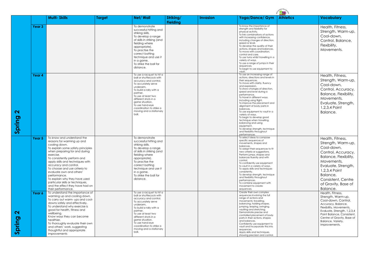|                                                             | <b>Multi-Skills</b>                                                                                                                                                                                                                                                                                                                                                                                                                                                                                                                                                                                                                                                                                                                                                                                                                                                                    | <b>Target</b> | Net/ Wall                                                                                                                                                                                                                                                                                                                                                                                                                                                                                                                                                                                | Striking/<br><b>Fielding</b> | <b>Invasion</b> | Yoga/Dance/ Gym                                                                                                                                                                                                                                                                                                                                                                                                                                                                                                                                                                                                                                                                                                                                                                                                                                                                                                                                                                    | <b>Athletics</b> | <b>Vocabulary</b>                                                                                                                                                                                                                                                                                                                                                                                                                                                                 |
|-------------------------------------------------------------|----------------------------------------------------------------------------------------------------------------------------------------------------------------------------------------------------------------------------------------------------------------------------------------------------------------------------------------------------------------------------------------------------------------------------------------------------------------------------------------------------------------------------------------------------------------------------------------------------------------------------------------------------------------------------------------------------------------------------------------------------------------------------------------------------------------------------------------------------------------------------------------|---------------|------------------------------------------------------------------------------------------------------------------------------------------------------------------------------------------------------------------------------------------------------------------------------------------------------------------------------------------------------------------------------------------------------------------------------------------------------------------------------------------------------------------------------------------------------------------------------------------|------------------------------|-----------------|------------------------------------------------------------------------------------------------------------------------------------------------------------------------------------------------------------------------------------------------------------------------------------------------------------------------------------------------------------------------------------------------------------------------------------------------------------------------------------------------------------------------------------------------------------------------------------------------------------------------------------------------------------------------------------------------------------------------------------------------------------------------------------------------------------------------------------------------------------------------------------------------------------------------------------------------------------------------------------|------------------|-----------------------------------------------------------------------------------------------------------------------------------------------------------------------------------------------------------------------------------------------------------------------------------------------------------------------------------------------------------------------------------------------------------------------------------------------------------------------------------|
|                                                             | Year <sub>3</sub>                                                                                                                                                                                                                                                                                                                                                                                                                                                                                                                                                                                                                                                                                                                                                                                                                                                                      |               | To demonstrate<br>successful hitting and<br>striking skills.<br>To develop a range<br>of skills in striking (and<br>fielding where<br>appropriate).<br>To practise the<br>correct batting<br>technique and use it<br>in a game.<br>To strike the ball for<br>distance.                                                                                                                                                                                                                                                                                                                   |                              |                 | To know the importance of<br>strength and flexibility for<br>physical activity.<br>To link combinations of actions<br>with increasing confidence,<br>including changes of direction,<br>speed or level.<br>To develop the quality of their<br>actions, shapes and balances.<br>To move with coordination,<br>control and care.<br>To use turns whilst travelling in a<br>variety of ways.<br>To use a range of jumps in their<br>sequences.<br>To begin to use equipment to<br>vault.                                                                                                                                                                                                                                                                                                                                                                                                                                                                                              |                  | Health, Fitness,<br>Strength, Warm-up,<br>Cool-down,<br>Control, Balance,<br>Flexibility,<br>Movements.                                                                                                                                                                                                                                                                                                                                                                           |
| $\blacktriangleleft$<br>Spring                              | Year 4                                                                                                                                                                                                                                                                                                                                                                                                                                                                                                                                                                                                                                                                                                                                                                                                                                                                                 |               | To use a racquet to hit a<br>ball or shuttlecock with<br>accuracy and control.<br>To accurately serve<br>underarm.<br>To build a rally with a<br>partner.<br>To use at least two<br>different shots in a<br>game situation.<br>To use hand-eye<br>coordination to strike a<br>moving and a stationary<br>ball.                                                                                                                                                                                                                                                                           |                              |                 | To use an increasing range of<br>actions, directions and levels in<br>their sequences.<br>To move with clarity, fluency<br>and expression.<br>To show changes of direction,<br>speed and level during a<br>performance.<br>To travel in different ways,<br>including using flight.<br>To improve the placement and<br>alignment of body parts in<br>balances.<br>To use equipment to vault in a<br>variety of ways.<br>To begin to develop good<br>technique when travelling,<br>balancing and using<br>equipment.<br>To develop strength, technique<br>and flexibility throughout<br>performances                                                                                                                                                                                                                                                                                                                                                                                 |                  | Health, Fitness,<br>Strength, Warm-up,<br>Cool-down,<br>Control, Accuracy,<br>Balance, Flexibility,<br>Movements,<br>Evaluate, Strength,<br>1,2,3,4 Point<br>Balance.                                                                                                                                                                                                                                                                                                             |
| $\boldsymbol{\mathsf{N}}$<br>pring<br>$\boldsymbol{\omega}$ | To know and understand the<br>Year <sub>5</sub><br>reasons for warming up and<br>cooling down.<br>To explain some safety principles<br>when preparing for and during<br>exercise.<br>To consistently perform and<br>apply skills and techniques with<br>accuracy and control.<br>To choose and use criteria to<br>evaluate own and others'<br>performance.<br>To explain why they have used<br>particular skills or techniques,<br>and the effect they have had on<br>their performance.<br>To understand the importance of<br>Year 6<br>warming up and cooling down.<br>To carry out warm- ups and cool-<br>downs safely and effectively.<br>To understand why exercise is<br>good for health, fitness and<br>wellbeing.<br>Know ways they can become<br>healthier.<br>To thoroughly evaluate their own<br>and others' work, suggesting<br>thoughtful and appropriate<br>improvements |               | To demonstrate<br>successful hitting and<br>striking skills.<br>To develop a range<br>of skills in striking (and<br>fielding where<br>appropriate).<br>To practise the<br>correct batting<br>technique and use it<br>in a game.<br>To strike the ball for<br>distance.<br>To use a racquet to hit a<br>ball or shuttlecock with<br>accuracy and control.<br>To accurately serve<br>underarm.<br>To build a rally with a<br>partner.<br>To use at least two<br>different shots in a<br>game situation.<br>To use hand-eye<br>coordination to strike a<br>moving and a stationary<br>ball. |                              |                 | To select ideas to compose<br>specific sequences of<br>movements, shapes and<br>balances.<br>To adapt their sequences to fit<br>new criteria or suggestions.<br>Perform jumps, shapes and<br>balances fluently and with<br>control.<br>To confidently use equipment<br>to vault in a variety of ways.<br>To apply skills and techniques<br>consistently.<br>To develop strength, technique<br>and flexibility throughout<br>performances.<br>To combine equipment with<br>movement to create<br>sequences.<br>Create their own complex<br>sequences involving the full<br>range of actions and<br>movements: travelling,<br>balancing, holding shapes,<br>jumping, leaping, swinging,<br>vaulting and stretching.<br>Demonstrate precise and<br>controlled placement of body<br>parts in their actions, shapes<br>and balances.<br>Confidently use equipment to<br>vault and incorporate this into<br>sequences.<br>Apply skills and techniques,<br>showing precision and control. |                  | Health, Fitness,<br>Strength, Warm-up,<br>Cool-down,<br>Control, Accuracy,<br>Balance, Flexibility,<br>Movements,<br>Evaluate, Strength,<br>1,2,3,4 Point<br>Balance,<br>Consistent, Centre<br>of Gravity, Base of<br>Balance.<br>Health, Fitness,<br>Strength, Warm-up,<br>Cool-down, Control,<br>Accuracy, Balance,<br>Flexibility, Movements,<br>Evaluate, Strength, 1,2,3,4<br>Point Balance, Consistent,<br>Centre of Gravity, Base of<br>Balance, Variety,<br>Improvements. |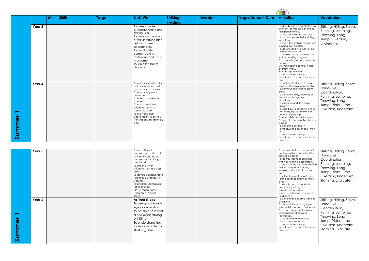|                                |                   |                     |               |                                                                                                                                                                                                                                                                                                                |                              |                 |                 | <b>PERSONAL PROPERTY</b>                                                                                                                                                                                                                                                                                                                                                                                                                                                                                                                                                              |                                                                                                             |
|--------------------------------|-------------------|---------------------|---------------|----------------------------------------------------------------------------------------------------------------------------------------------------------------------------------------------------------------------------------------------------------------------------------------------------------------|------------------------------|-----------------|-----------------|---------------------------------------------------------------------------------------------------------------------------------------------------------------------------------------------------------------------------------------------------------------------------------------------------------------------------------------------------------------------------------------------------------------------------------------------------------------------------------------------------------------------------------------------------------------------------------------|-------------------------------------------------------------------------------------------------------------|
|                                |                   | <b>Multi-Skills</b> | <b>Target</b> | <b>Net/Wall</b>                                                                                                                                                                                                                                                                                                | Striking/<br><b>Fielding</b> | <b>Invasion</b> | Yoga/Dance/ Gym | <b>Athletics</b>                                                                                                                                                                                                                                                                                                                                                                                                                                                                                                                                                                      | <b>Vocabulary</b>                                                                                           |
|                                | Year <sub>3</sub> |                     |               | To demonstrate<br>successful hitting and<br>striking skills.<br>To develop a range<br>of skills in striking (and<br>fielding where<br>appropriate).<br>To practise the<br>correct batting<br>technique and use it<br>in a game.<br>To strike the ball for<br>distance.                                         |                              |                 |                 | To identify and demonstrate how<br>different techniques can affect<br>their performance.<br>To focus on their arm and leg<br>action to improve their sprinting<br>technique.<br>To begin to combine running with<br>jumping over hurdles.<br>To use one and two feet to take<br>off and to land with.<br>To develop an effective take-off<br>for the standing long jump.<br>To throw with greater control and<br>accuracy.<br>Show increasing control in their<br>overarm throw.<br>Perform a push throw.<br>To continue to develop<br>techniques to throw for increased<br>distance. | Striking, Hittir<br>Running, Jun<br>Throwing, Lo<br>Jump, Overc<br>Underarm.                                |
| ummer<br>$\boldsymbol{\omega}$ | Year 4            |                     |               | To use a racquet to hit a<br>ball or shuttlecock with<br>accuracy and control.<br>To accurately serve<br>underarm.<br>To build a rally with a<br>partner.<br>To use at least two<br>different shots in a<br>game situation.<br>To use hand-eye<br>coordination to strike a<br>moving and a stationary<br>ball. |                              |                 |                 | To confidently demonstrate an<br>improved technique for sprinting.<br>To carry out an effective sprint<br>finish.<br>To perform a relay, focusing on<br>the baton changeover<br>technique.<br>To speed up and slow down<br>smoothly.<br>To learn how to combine a hop,<br>step and jump to perform the<br>standing triple jump.<br>To land safely and with control.<br>To begin to measure the distance<br>jumped.<br>To perform a pull throw.<br>To measure the distance of their<br>throws.<br>To continue to develop<br>techniques to throw for increased<br>distance.             | Striking, Hittir<br>Hand-Eye<br>Coordination<br>Running, Jun<br>Throwing, Lo<br>Jump, Triple<br>Overarm, Un |

| <b>Athletics</b>                                                                                                                                                                                                                                                                                                                                                                                                                                                                                                                                                                       | <b>Vocabulary</b>                                                                                                                                               |
|----------------------------------------------------------------------------------------------------------------------------------------------------------------------------------------------------------------------------------------------------------------------------------------------------------------------------------------------------------------------------------------------------------------------------------------------------------------------------------------------------------------------------------------------------------------------------------------|-----------------------------------------------------------------------------------------------------------------------------------------------------------------|
| To identify and demonstrate how<br>different techniques can affect<br>their performance.<br>To focus on their arm and leg<br>action to improve their sprinting<br>technique.<br>To begin to combine running with<br>jumping over hurdles.<br>To use one and two feet to take<br>off and to land with.<br>To develop an effective take-off<br>for the standing long jump.<br>To throw with greater control and<br>accuracy.<br>Show increasing control in their<br>overarm throw.<br>Perform a push throw.<br>To continue to develop<br>techniques to throw for increased               | Striking, Hitting, Serve,<br>Running, Jumping,<br>Throwing, Long<br>Jump, Overarm,<br>Underarm.                                                                 |
| distance.<br>To confidently demonstrate an<br>improved technique for sprinting.<br>To carry out an effective sprint<br>finish.<br>To perform a relay, focusing on<br>the baton changeover<br>technique.<br>To speed up and slow down<br>smoothly.<br>To learn how to combine a hop,<br>step and jump to perform the<br>standing triple jump.<br>To land safely and with control.<br>To begin to measure the distance<br>jumped.<br>To perform a pull throw.<br>To measure the distance of their<br>throws.<br>To continue to develop<br>techniaues to throw for increased<br>distance. | Striking, Hitting, Serve,<br>Hand-Eye<br>Coordination,<br>Running, Jumping,<br>Throwing, Long<br>Jump, Triple Jump,<br>Overarm, Underarm.                       |
|                                                                                                                                                                                                                                                                                                                                                                                                                                                                                                                                                                                        |                                                                                                                                                                 |
| To accelerate from a variety of<br>starting positions and select their<br>preferred position.<br>To identify their reaction times<br>when performing a sprint start.<br>To continue to practise and refine<br>their technique for sprinting,<br>focusing on an effective sprint<br>start.<br>To select the most suitable pace<br>for the distance and their fitness<br>level.<br>To identify and demonstrate<br>stamina, explaining its<br>importance for runners.<br>Improve techniques for jumping<br>for distance.                                                                  | Striking, Hitting, Serve,<br>Hand-Eye<br>Coordination,<br>Running, Jumping,<br>Throwing, Long<br>Jump, Triple Jump,<br>Overarm, Underarm,<br>Stamina, Evaluate. |
| To perform an effective standing<br>long jump.<br>To perform the standing triple<br>jump with increased confidence.<br>To throw a variety of implements<br>using a range of throwing<br>techniques.<br>To measure and record the<br>distance of their throws.<br>To continue to develop<br>techniques to throw for increased<br>distance.                                                                                                                                                                                                                                              | Striking, Hitting, Serve,<br>Hand-Eye<br>Coordination,<br>Running, Jumping,<br>Throwing, Long<br>Jump, Triple Jump,<br>Overarm, Underarm,<br>Stamina, Evaluate. |

|        | Year 5 | To use different          |  |  |
|--------|--------|---------------------------|--|--|
|        |        | techniques to hit a ball. |  |  |
|        |        | To identify and apply     |  |  |
|        |        | techniques for hitting a  |  |  |
|        |        | tennis ball.              |  |  |
|        |        | To explore when           |  |  |
|        |        | different shots are best  |  |  |
|        |        | used.                     |  |  |
|        |        | To develop a backhand     |  |  |
|        |        | technique and use it in   |  |  |
|        |        | a game.                   |  |  |
|        |        | To practise techniques    |  |  |
|        |        | for all strokes.          |  |  |
|        |        | Play a tennis game        |  |  |
|        |        | using an overhead         |  |  |
|        |        | serve.                    |  |  |
|        |        |                           |  |  |
|        | Year 6 | As Year 5, also:          |  |  |
|        |        | To use good hand-         |  |  |
|        |        | eye coordination          |  |  |
|        |        | to be able to direct      |  |  |
|        |        |                           |  |  |
|        |        | a ball when striking      |  |  |
|        |        | or hitting.               |  |  |
|        |        | To understand how         |  |  |
|        |        |                           |  |  |
|        |        | to serve in order to      |  |  |
|        |        | start a game.             |  |  |
|        |        |                           |  |  |
|        |        |                           |  |  |
| Summer |        |                           |  |  |
|        |        |                           |  |  |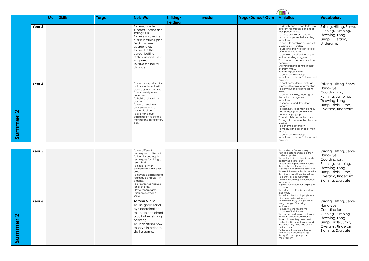|                             |        |                     |        |                                                                                                                                                                                                                                                                                                                |                              |                 |                 | <b>STATE OF STREET</b>                                                                                                                                                                                                                                                                                                                                                                                                                                                                                                                                                                |                                                                                                             |
|-----------------------------|--------|---------------------|--------|----------------------------------------------------------------------------------------------------------------------------------------------------------------------------------------------------------------------------------------------------------------------------------------------------------------|------------------------------|-----------------|-----------------|---------------------------------------------------------------------------------------------------------------------------------------------------------------------------------------------------------------------------------------------------------------------------------------------------------------------------------------------------------------------------------------------------------------------------------------------------------------------------------------------------------------------------------------------------------------------------------------|-------------------------------------------------------------------------------------------------------------|
|                             |        | <b>Multi-Skills</b> | Target | <b>Net/Wall</b>                                                                                                                                                                                                                                                                                                | Striking/<br><b>Fielding</b> | <b>Invasion</b> | Yoga/Dance/ Gym | <b>Athletics</b>                                                                                                                                                                                                                                                                                                                                                                                                                                                                                                                                                                      | <b>Vocabulary</b>                                                                                           |
|                             | Year 3 |                     |        | To demonstrate<br>successful hitting and<br>striking skills.<br>To develop a range<br>of skills in striking (and<br>fielding where<br>appropriate).<br>To practise the<br>correct batting<br>technique and use it<br>in a game.<br>To strike the ball for<br>distance.                                         |                              |                 |                 | To identify and demonstrate how<br>different techniques can affect<br>their performance.<br>To focus on their arm and leg<br>action to improve their sprinting<br>technique.<br>To begin to combine running with<br>jumping over hurdles.<br>To use one and two feet to take<br>off and to land with.<br>To develop an effective take-off<br>for the standing long jump.<br>To throw with greater control and<br>accuracy.<br>Show increasing control in their<br>overarm throw.<br>Perform a push throw.<br>To continue to develop<br>techniques to throw for increased<br>distance. | Striking, Hittir<br>Running, Jun<br>Throwing, Lo<br>Jump, Overc<br>Underarm.                                |
| $\mathbf{\Omega}$<br>Summer | Year 4 |                     |        | To use a racquet to hit a<br>ball or shuttlecock with<br>accuracy and control.<br>To accurately serve<br>underarm.<br>To build a rally with a<br>partner.<br>To use at least two<br>different shots in a<br>game situation.<br>To use hand-eye<br>coordination to strike a<br>moving and a stationary<br>ball. |                              |                 |                 | To confidently demonstrate an<br>improved technique for sprinting.<br>To carry out an effective sprint<br>finish.<br>To perform a relay, focusing on<br>the baton changeover<br>technique.<br>To speed up and slow down<br>smoothly.<br>To learn how to combine a hop,<br>step and jump to perform the<br>standing triple jump.<br>To land safely and with control.<br>To begin to measure the distance<br>jumped.<br>To perform a pull throw.<br>To measure the distance of their<br>throws.<br>To continue to develop<br>techniques to throw for increased<br>distance.             | Striking, Hittir<br>Hand-Eye<br>Coordination<br>Running, Jun<br>Throwing, Lo<br>Jump, Triple<br>Overarm, Un |

| <b>Athletics</b>                                                                                                                                                                                                                                                                                                                                                                                                                                                                                                                                                                                                                       | <b>Vocabulary</b>                                                                                                                                               |
|----------------------------------------------------------------------------------------------------------------------------------------------------------------------------------------------------------------------------------------------------------------------------------------------------------------------------------------------------------------------------------------------------------------------------------------------------------------------------------------------------------------------------------------------------------------------------------------------------------------------------------------|-----------------------------------------------------------------------------------------------------------------------------------------------------------------|
| To identify and demonstrate how<br>different techniques can affect<br>their performance.<br>To focus on their arm and leg<br>action to improve their sprinting<br>technique.<br>To begin to combine running with<br>jumping over hurdles.<br>To use one and two feet to take<br>off and to land with.<br>To develop an effective take-off<br>for the standing long jump.<br>To throw with greater control and<br>accuracy.<br>Show increasing control in their<br>overarm throw.<br>Perform a push throw.<br>To continue to develop<br>techniques to throw for increased                                                               | Striking, Hitting, Serve,<br>Running, Jumping,<br>Throwing, Long<br>Jump, Overarm,<br>Underarm.                                                                 |
| distance.<br>To confidently demonstrate an<br>improved technique for sprinting.<br>To carry out an effective sprint<br>finish.<br>To perform a relay, focusing on<br>the baton changeover<br>technique.<br>To speed up and slow down<br>smoothly.<br>To learn how to combine a hop,<br>step and jump to perform the<br>standing triple jump.<br>To land safely and with control.<br>To begin to measure the distance<br>jumped.<br>To perform a pull throw.<br>To measure the distance of their<br>throws.<br>To continue to develop<br>techniques to throw for increased<br>distance.                                                 | Striking, Hitting, Serve,<br>Hand-Eye<br>Coordination,<br>Running, Jumping,<br>Throwing, Long<br>Jump, Triple Jump,<br>Overarm, Underarm.                       |
|                                                                                                                                                                                                                                                                                                                                                                                                                                                                                                                                                                                                                                        |                                                                                                                                                                 |
| To accelerate from a variety of<br>starting positions and select their<br>preferred position.<br>To identify their reaction times when<br>performing a sprint start.<br>To continue to practise and refine<br>their technique for sprinting,<br>focusing on an effective sprint start.<br>To select the most suitable pace for<br>the distance and their fitness level.<br>To identify and demonstrate<br>stamina, explaining its importance<br>for runners.<br>Improve techniques for jumping for<br>distance.<br>To perform an effective standing<br>long jump.<br>To perform the standing triple jump<br>with increased confidence. | Striking, Hitting, Serve,<br>Hand-Eye<br>Coordination,<br>Running, Jumping,<br>Throwing, Long<br>Jump, Triple Jump,<br>Overarm, Underarm,<br>Stamina, Evaluate. |
| To throw a variety of implements<br>using a range of throwing<br>techniques.<br>To measure and record the<br>distance of their throws.<br>To continue to develop techniques<br>to throw for increased distance.<br>To explain why they have used<br>particular skills or techniques, and<br>the effect they have had on their<br>performance.<br>To thoroughly evaluate their own<br>and others' work, suggesting<br>thoughtful and appropriate<br>improvements                                                                                                                                                                        | Striking, Hitting, Serve,<br>Hand-Eye<br>Coordination,<br>Running, Jumping,<br>Throwing, Long<br>Jump, Triple Jump,<br>Overarm, Underarm,<br>Stamina, Evaluate. |

|                             | Year 5 | To use different<br>techniques to hit a ball.<br>To identify and apply<br>techniques for hitting a<br>tennis ball.<br>To explore when<br>different shots are best<br>used.<br>To develop a backhand<br>technique and use it in<br>a game.<br>To practise techniques<br>for all strokes.<br>Play a tennis game<br>using an overhead<br>serve. |  |
|-----------------------------|--------|----------------------------------------------------------------------------------------------------------------------------------------------------------------------------------------------------------------------------------------------------------------------------------------------------------------------------------------------|--|
| $\mathbf{\Omega}$<br>Summer | Year 6 | As Year 5, also:<br>To use good hand-<br>eye coordination<br>to be able to direct<br>a ball when striking<br>or hitting.<br>To understand how<br>to serve in order to<br>start a game.                                                                                                                                                       |  |